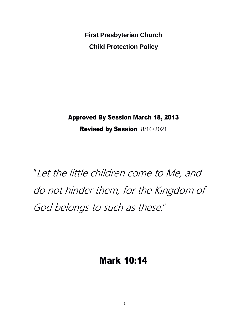**First Presbyterian Church Child Protection Policy**

Approved By Session March 18, 2013

Revised by Session 8/16/2021

"Let the little children come to Me, and do not hinder them, for the Kingdom of God belongs to such as these."

# Mark 10:14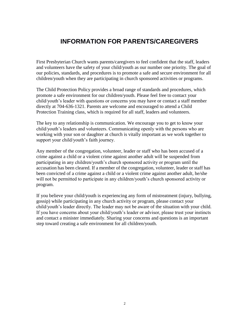# **INFORMATION FOR PARENTS/CAREGIVERS**

First Presbyterian Church wants parents/caregivers to feel confident that the staff, leaders and volunteers have the safety of your child/youth as our number one priority. The goal of our policies, standards, and procedures is to promote a safe and secure environment for all children/youth when they are participating in church sponsored activities or programs.

The Child Protection Policy provides a broad range of standards and procedures, which promote a safe environment for our children/youth. Please feel free to contact your child/youth's leader with questions or concerns you may have or contact a staff member directly at 704-636-1321. Parents are welcome and encouraged to attend a Child Protection Training class, which is required for all staff, leaders and volunteers.

The key to any relationship is communication. We encourage you to get to know your child/youth's leaders and volunteers. Communicating openly with the persons who are working with your son or daughter at church is vitally important as we work together to support your child/youth's faith journey.

Any member of the congregation, volunteer, leader or staff who has been accused of a crime against a child or a violent crime against another adult will be suspended from participating in any children/youth's church sponsored activity or program until the accusation has been cleared. If a member of the congregation, volunteer, leader or staff has been convicted of a crime against a child or a violent crime against another adult, he/she will not be permitted to participate in any children/youth's church sponsored activity or program.

If you believe your child/youth is experiencing any form of mistreatment (injury, bullying, gossip) while participating in any church activity or program, please contact your child/youth's leader directly. The leader may not be aware of the situation with your child. If you have concerns about your child/youth's leader or advisor, please trust your instincts and contact a minister immediately. Sharing your concerns and questions is an important step toward creating a safe environment for all children/youth.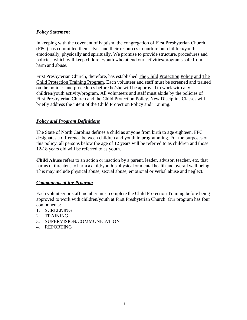#### *Policy Statement*

In keeping with the covenant of baptism, the congregation of First Presbyterian Church (FPC) has committed themselves and their resources to nurture our children/youth emotionally, physically and spiritually. We promise to provide structure, procedures and policies, which will keep children/youth who attend our activities/programs safe from harm and abuse.

First Presbyterian Church, therefore, has established The Child Protection Policy and The Child Protection Training Program. Each volunteer and staff must be screened and trained on the policies and procedures before he/she will be approved to work with any children/youth activity/program. All volunteers and staff must abide by the policies of First Presbyterian Church and the Child Protection Policy. New Discipline Classes will briefly address the intent of the Child Protection Policy and Training.

#### *Policy and Program Definitions*

The State of North Carolina defines a child as anyone from birth to age eighteen. FPC designates a difference between children and youth in programming. For the purposes of this policy, all persons below the age of 12 years will be referred to as children and those 12-18 years old will be referred to as youth.

**Child Abuse** refers to an action or inaction by a parent, leader, advisor, teacher, etc. that harms or threatens to harm a child/youth's physical or mental health and overall well-being. This may include physical abuse, sexual abuse, emotional or verbal abuse and neglect.

#### *Components of the Program*

Each volunteer or staff member must complete the Child Protection Training before being approved to work with children/youth at First Presbyterian Church. Our program has four components:

- 1. SCREENING
- 2. TRAINING
- 3. SUPERVISION/COMMUNICATION
- 4. REPORTING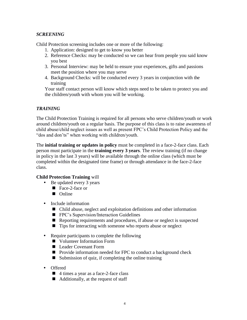#### *SCREENING*

Child Protection screening includes one or more of the following:

- 1. Application: designed to get to know you better
- 2. Reference Checks: may be conducted so we can hear from people you said know you best
- 3. Personal Interview: may be held to ensure your experiences, gifts and passions meet the position where you may serve
- 4. Background Checks: will be conducted every 3 years in conjunction with the training

Your staff contact person will know which steps need to be taken to protect you and the children/youth with whom you will be working.

#### *TRAINING*

The Child Protection Training is required for all persons who serve children/youth or work around children/youth on a regular basis. The purpose of this class is to raise awareness of child abuse/child neglect issues as well as present FPC's Child Protection Policy and the "dos and don'ts" when working with children/youth.

The **initial training or updates in policy** must be completed in a face-2-face class. Each person must participate in the **training every 3 years**. The review training (if no change in policy in the last 3 years) will be available through the online class (which must be completed within the designated time frame) or through attendance in the face-2-face class.

#### **Child Protection Training** will

- Be updated every 3 years
	- Face-2-face or
	- **Online**
- Include information
	- Child abuse, neglect and exploitation definitions and other information
	- **FPC**'s Supervision/Interaction Guidelines
	- Reporting requirements and procedures, if abuse or neglect is suspected
	- Tips for interacting with someone who reports abuse or neglect
- Require participants to complete the following
	- **No Volunteer Information Form**
	- Leader Covenant Form
	- Provide information needed for FPC to conduct a background check
	- $\blacksquare$  Submission of quiz, if completing the online training
- Offered
	- 4 times a year as a face-2-face class
	- $\blacksquare$  Additionally, at the request of staff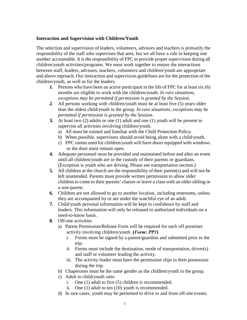#### **Interaction and Supervision with Children/Youth**

The selection and supervision of leaders, volunteers, advisors and teachers is primarily the responsibility of the staff who supervises that area, but we all have a role in keeping one another accountable. It is the responsibility of FPC to provide proper supervision during all children/youth activities/programs. We must work together to ensure the interactions between staff, leaders, advisors, teachers, volunteers and children/youth are appropriate and above reproach. Our interaction and supervision guidelines are for the protection of the children/youth, as well as for the leaders.

- *1.* Persons who have been an active participant in the life of FPC for at least six (6) months are eligible to work with the children/youth. *In rare situations, exceptions may be permitted if permission is granted by the Session.*
- *2.* All persons working with children/youth must be at least five (5) years older than the oldest child/youth in the group. *In rare situations, exceptions may be permitted if permission is granted by the Session.*
- **3.** At least two (2) adults or one (1) adult and one (1) youth will be present to supervise all activities involving children/youth.
	- a) All must be trained and familiar with the Child Protection Policy.
	- b) When possible, supervisors should avoid being alone with a child/youth.
	- c) FPC rooms used for children/youth will have doors equipped with windows or the door must remain open.
- **4.** Adequate personnel must be provided and maintained before and after an event until all children/youth are in the custody of their parents or guardians. (Exception is youth who are driving. Please see transportation section.)
- **5.** All children at the church are the responsibility of their parent(s) and will not be left unattended. Parents must provide written permission to allow older children to come to their parents' classes or leave a class with an older sibling or a non-parent.
- **6.** Children are not allowed to go to another location, including restrooms, unless they are accompanied by or are under the watchful eye of an adult.
- **7.** Child/youth personal information will be kept in confidence by staff and leaders. This information will only be released to authorized individuals on a need-to-know basis.
- **8.** Off-site activities
	- a) Parent Permission/Release Form will be required for each off premises activity involving children/youth. **(***Form: PP1***)**
		- i. Forms must be signed by a parent/guardian and submitted prior to the trip.
		- ii. Forms must include the destination, mode of transportation, driver(s) and staff or volunteer leading the activity.
		- iii. The activity leader must have the permission slips in their possession during the trip.
	- b) Chaperones must be the same gender as the children/youth in the group.
	- c) Adult to child/youth ratio
		- i. One (1) adult to five (5) children is recommended.
		- ii. One (1) adult to ten (10) youth is recommended.
	- d) In rare cases, youth may be permitted to drive to and from off-site events.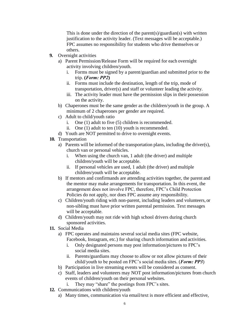This is done under the direction of the parent(s)/guardian(s) with written justification to the activity leader. (Text messages will be acceptable.) FPC assumes no responsibility for students who drive themselves or others.

- **9.** Overnight activities
	- a) Parent Permission/Release Form will be required for each overnight activity involving children/youth.
		- i. Forms must be signed by a parent/guardian and submitted prior to the trip. **(***Form: PP2***)**
		- ii. Forms must include the destination, length of the trip, mode of transportation, driver(s) and staff or volunteer leading the activity.
		- iii. The activity leader must have the permission slips in their possession on the activity.
	- b) Chaperones must be the same gender as the children/youth in the group. A minimum of 2 chaperones per gender are required.
	- c) Adult to child/youth ratio
		- i. One (1) adult to five (5) children is recommended.
		- ii. One (1) adult to ten (10) youth is recommended.
	- d) Youth are NOT permitted to drive to overnight events.
- **10.** Transportation
	- a) Parents will be informed of the transportation plans, including the driver(s), church van or personal vehicles.
		- i. When using the church van, 1 adult (the driver) and multiple children/youth will be acceptable.
		- ii. If personal vehicles are used, 1 adult (the driver) and multiple children/youth will be acceptable.
	- b) If mentors and confirmands are attending activities together, the parent and the mentor may make arrangements for transportation. In this event, the arrangement does not involve FPC, therefore, FPC's Child Protection Policies do not apply, nor does FPC assume any responsibility.
	- c) Children/youth riding with non-parent, including leaders and volunteers, or non-sibling must have prior written parental permission. Text messages will be acceptable.
	- d) Children/youth may not ride with high school drivers during church sponsored activities.
- **11.** Social Media
	- a) FPC operates and maintains several social media sites (FPC website, Facebook, Instagram, etc.) for sharing church information and activities.
		- i. Only designated persons may post information/pictures to FPC's social media sites.
		- ii. Parents/guardians may choose to allow or not allow pictures of their child/youth to be posted on FPC's social media sites. (*Form: PP3*)
	- b) Participation in live streaming events will be considered as consent.
	- c) Staff, leaders and volunteers may NOT post information/pictures from church events of children/youth on their personal websites.
		- i. They may "share" the postings from FPC's sites.
- **12.** Communications with children/youth
	- a) Many times, communication via email/text is more efficient and effective,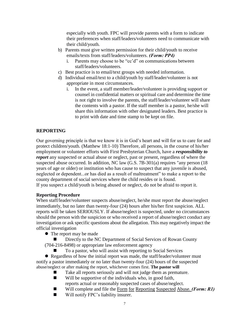especially with youth. FPC will provide parents with a form to indicate their preferences when staff/leaders/volunteers need to communicate with their child/youth.

- b) Parents must give written permission for their child/youth to receive emails/texts from staff/leaders/volunteers. *(Form: PP4)*
	- i. Parents may choose to be "cc'd" on communications between staff/leaders/volunteers.
- c) Best practice is to email/text groups with needed information.
- d) Individual email/text to a child/youth by staff/leader/volunteer is not appropriate in most circumstances.
	- i. In the event, a staff member/leader/volunteer is providing support or counsel in confidential matters or spiritual care and determine the time is not right to involve the parents, the staff/leader/volunteer will share the contents with a pastor. If the staff member is a pastor, he/she will share this information with other designated leaders. Best practice is to print with date and time stamp to be kept on file.

#### **REPORTING**

Our governing principle is that we know it is in God's heart and will for us to care for and protect children/youth. (Matthew 18:1-10) Therefore, all persons, in the course of his/her employment or volunteer efforts with First Presbyterian Church, have a *responsibility to report* any suspected or actual abuse or neglect, past or present, regardless of where the suspected abuse occurred. In addition, NC law (G.S. 7B-301(a) requires "any person (18 years of age or older) or institution who has cause to suspect that any juvenile is abused, neglected or dependent...or has died as a result of maltreatment" to make a report to the county department of social services where the child resides or is found.

If you suspect a child/youth is being abused or neglect, do not be afraid to report it.

#### **Reporting Procedure**

When staff/leader/volunteer suspects abuse/neglect, he/she must report the abuse/neglect immediately, but no later than twenty-four (24) hours after his/her first suspicion. ALL reports will be taken SERIOUSLY. If abuse/neglect is suspected, under no circumstances should the person with the suspicion or who received a report of abuse/neglect conduct any investigation or ask specific questions about the allegation. This may negatively impact the official investigation

- The report may be made
- Directly to the NC Department of Social Services of Rowan County
- (704-216-8498) or appropriate law enforcement agency
	- To a pastor, who will assist with reporting to Social Services

• Regardless of how the initial report was made, the staff/leader/volunteer must notify a pastor immediately or no later than twenty-four (24) hours of the suspected abuse/neglect or after making the report, whichever comes first. **The pastor will**

- Take all reports seriously and will not judge them as premature.
- $\blacksquare$  Will be supportive of the individuals who, in good faith, reports actual or reasonably suspected cases of abuse/neglect.
- Will complete and file the Form for Reporting Suspected Abuse. *(Form: R1)*
- Will notify FPC's liability insurer.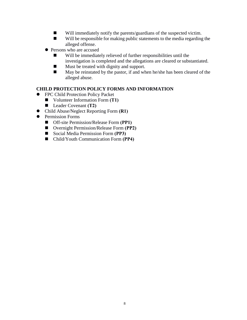- Will immediately notify the parents/guardians of the suspected victim.
- Will be responsible for making public statements to the media regarding the alleged offense.
- Persons who are accused
	- Will be immediately relieved of further responsibilities until the investigation is completed and the allegations are cleared orsubstantiated.
	- **Must be treated with dignity and support.**
	- $\blacksquare$  May be reinstated by the pastor, if and when he/she has been cleared of the alleged abuse.

## **CHILD PROTECTION POLICY FORMS AND INFORMATION**

- **•** FPC Child Protection Policy Packet
	- Volunteer Information Form **(T1)**
	- Leader Covenant **(T2)**
- Child Abuse/Neglect Reporting Form **(R1)**
- **•** Permission Forms
	- Off-site Permission/Release Form **(PP1)**
	- Overnight Permission/Release Form **(PP2)**
	- Social Media Permission Form **(PP3)**
	- Child/Youth Communication Form **(PP4)**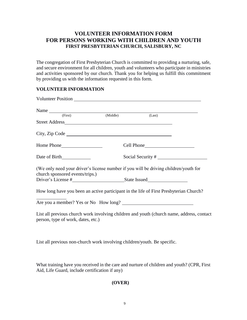# **VOLUNTEER INFORMATION FORM FOR PERSONS WORKING WITH CHILDREN AND YOUTH FIRST PRESBYTERIAN CHURCH, SALISBURY, NC**

The congregation of First Presbyterian Church is committed to providing a nurturing, safe, and secure environment for all children, youth and volunteers who participate in ministries and activities sponsored by our church. Thank you for helping us fulfill this commitment by providing us with the information requested in this form.

#### **VOLUNTEER INFORMATION**

| Name (First) (Middle)                                                                                                                                                                                                          | (Last)            |  |
|--------------------------------------------------------------------------------------------------------------------------------------------------------------------------------------------------------------------------------|-------------------|--|
|                                                                                                                                                                                                                                |                   |  |
| City, Zip Code                                                                                                                                                                                                                 |                   |  |
|                                                                                                                                                                                                                                | Cell Phone        |  |
| Date of Birth                                                                                                                                                                                                                  | Social Security # |  |
| (We only need your driver's license number if you will be driving children/youth for<br>church sponsored events/trips.)                                                                                                        |                   |  |
| Driver's License # State Issued State Issued State Issued State Issued State Issued State Issued State Issued State Issued State Issued State Issued State Issued State Issued State Issued State Issued State Issued State Is |                   |  |
| How long have you been an active participant in the life of First Presbyterian Church?                                                                                                                                         |                   |  |
|                                                                                                                                                                                                                                |                   |  |
| List all previous church work involving children and youth (church name, address, contact<br>person, type of work, dates, etc.)                                                                                                |                   |  |
|                                                                                                                                                                                                                                |                   |  |

List all previous non-church work involving children/youth. Be specific.

What training have you received in the care and nurture of children and youth? (CPR, First Aid, Life Guard, include certification if any)

#### **(OVER)**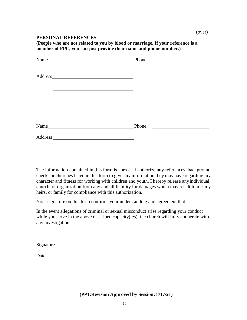#### **PERSONAL REFERENCES**

**(People who are not related to you by blood or marriage. If your reference is a member of FPC, you can just provide their name and phone number.)**

|         | Phone<br><u> 1989 - Andrea Station Barbara, politik a</u> |  |
|---------|-----------------------------------------------------------|--|
|         |                                                           |  |
| Address |                                                           |  |
|         |                                                           |  |
|         |                                                           |  |
|         |                                                           |  |
|         |                                                           |  |
|         |                                                           |  |
|         | Phone                                                     |  |
|         |                                                           |  |
|         |                                                           |  |

The information contained in this form is correct. I authorize any references, background checks or churches listed in this form to give any information they may have regarding my character and fitness for working with children and youth. I hereby release anyindividual, church, or organization from any and all liability for damages which may result to me, my heirs, or family for compliance with this authorization.

Your signature on this form confirms your understanding and agreement that:

In the event allegations of criminal or sexual misconduct arise regarding your conduct while you serve in the above described capacity(ies), the church will fully cooperate with any investigation.

| <b>Signature</b> |  |
|------------------|--|
|                  |  |

Date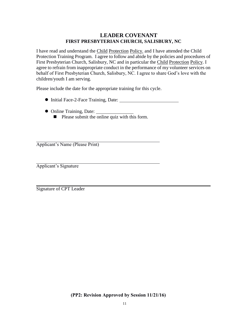## **LEADER COVENANT FIRST PRESBYTERIAN CHURCH, SALISBURY, NC**

I have read and understand the Child Protection Policy. and I have attended the Child Protection Training Program. I agree to follow and abide by the policies and procedures of First Presbyterian Church, Salisbury, NC and in particular the Child Protection Policy. I agree to refrain from inappropriate conduct in the performance of my volunteer services on behalf of First Presbyterian Church, Salisbury, NC. I agree to share God's love with the children/youth I am serving.

Please include the date for the appropriate training for this cycle.

- Initial Face-2-Face Training, Date:
- Online Training, Date:
	- $\blacksquare$  Please submit the online quiz with this form.

Applicant's Name (Please Print)

Applicant's Signature

Signature of CPT Leader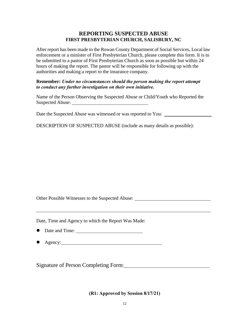#### **REPORTING SUSPECTED ABUSE FIRST PRESBYTERIAN CHURCH, SALISBURY, NC**

After report has been made to the Rowan County Department of Social Services, Local law enforcement or a minister of First Presbyterian Church, please complete this form. It is to be submitted to a pastor of First Presbyterian Church as soon as possible but within 24 hours of making the report. The pastor will be responsible for following up with the authorities and making a report to the insurance company.

#### **Remember:** *Under no circumstances should the person making the report attempt to conduct any further investigation on their own initiative.*

Name of the Person Observing the Suspected Abuse or Child/Youth who Reported the Suspected Abuse:

Date the Suspected Abuse was witnessed or was reported to You:

DESCRIPTION OF SUSPECTED ABUSE (include as many details as possible):

Other Possible Witnesses to the Suspected Abuse:

Date, Time and Agency to which the Report Was Made:

- Date and Time:
- Agency:

Signature of Person Completing Form:

**(R1: Approved by Session 8/17/21)**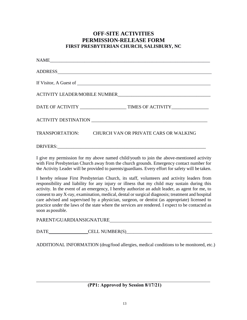# **OFF-SITE ACTIVITIES PERMISSION-RELEASE FORM FIRST PRESBYTERIAN CHURCH, SALISBURY, NC**

| TRANSPORTATION: CHURCH VAN OR PRIVATE CARS OR WALKING |  |  |
|-------------------------------------------------------|--|--|
|                                                       |  |  |

I give my permission for my above named child/youth to join the above-mentioned activity with First Presbyterian Church away from the church grounds. Emergency contact number for the Activity Leader will be provided to parents/guardians. Every effort for safety will be taken.

I hereby release First Presbyterian Church, its staff, volunteers and activity leaders from responsibility and liability for any injury or illness that my child may sustain during this activity. In the event of an emergency, I hereby authorize an adult leader, as agent for me, to consent to any X-ray, examination, medical, dental or surgical diagnosis; treatment and hospital care advised and supervised by a physician, surgeon, or dentist (as appropriate) licensed to practice under the laws of the state where the services are rendered. I expect to be contacted as soon as possible.

PARENT/GUARDIANSIGNATURE

DATE CELL NUMBER(S)

ADDITIONAL INFORMATION (drug/food allergies, medical conditions to be monitored, etc.)

**(PP1: Approved by Session 8/17/21)**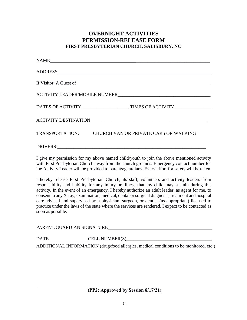# **OVERNIGHT ACTIVITIES PERMISSION-RELEASE FORM FIRST PRESBYTERIAN CHURCH, SALISBURY, NC**

| TRANSPORTATION: CHURCH VAN OR PRIVATE CARS OR WALKING |  |  |
|-------------------------------------------------------|--|--|
|                                                       |  |  |

I give my permission for my above named child/youth to join the above mentioned activity with First Presbyterian Church away from the church grounds. Emergency contact number for the Activity Leader will be provided to parents/guardians. Every effort for safety will be taken.

I hereby release First Presbyterian Church, its staff, volunteers and activity leaders from responsibility and liability for any injury or illness that my child may sustain during this activity. In the event of an emergency, I hereby authorize an adult leader, as agent for me, to consent to any X-ray, examination, medical, dental or surgical diagnosis; treatment and hospital care advised and supervised by a physician, surgeon, or dentist (as appropriate) licensed to practice under the laws of the state where the services are rendered. I expect to be contacted as soon as possible.

PARENT/GUARDIAN SIGNATURE

DATE CELL NUMBER(S)\_\_\_\_\_\_\_\_\_\_\_\_\_\_\_\_\_\_\_\_\_\_\_\_\_\_\_\_\_\_\_\_\_\_\_\_\_

ADDITIONAL INFORMATION (drug/food allergies, medical conditions to be monitored, etc.)

#### **(PP2: Approved by Session 8/17/21)**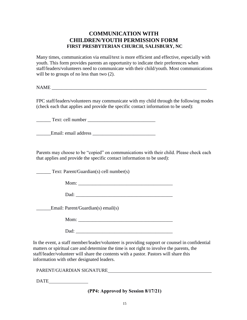# **COMMUNICATION WITH CHILDREN/YOUTH PERMISSION FORM FIRST PRESBYTERIAN CHURCH, SALISBURY, NC**

Many times, communication via email/text is more efficient and effective, especially with youth. This form provides parents an opportunity to indicate their preferences when staff/leaders/volunteers need to communicate with their child/youth. Most communications will be to groups of no less than two  $(2)$ .

NAME

FPC staff/leaders/volunteers may communicate with my child through the following modes (check each that applies and provide the specific contact information to be used):

\_\_\_\_\_\_ Text: cell number \_\_\_\_\_\_\_\_\_\_\_\_\_\_\_\_\_\_\_\_\_\_\_\_\_\_\_\_

\_\_\_\_\_\_Email: email address \_\_\_\_\_\_\_\_\_\_\_\_\_\_\_\_\_\_\_\_\_\_\_\_\_\_

Parents may choose to be "copied" on communications with their child. Please check each that applies and provide the specific contact information to be used):

Text: Parent/Guardian(s) cell number(s)

 $M$ om:  $\blacksquare$ 

Dad:

\_\_\_\_\_\_Email: Parent/Guardian(s) email(s)

Mom:

 $\Box$ ad:

In the event, a staff member/leader/volunteer is providing support or counsel in confidential matters or spiritual care and determine the time is not right to involve the parents, the staff/leader/volunteer will share the contents with a pastor. Pastors will share this information with other designated leaders.

PARENT/GUARDIAN SIGNATURE

DATE

**(PP4: Approved by Session 8/17/21)**